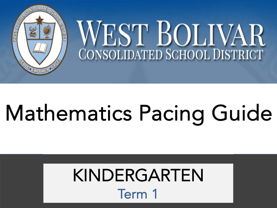

## Mathematics Pacing Guide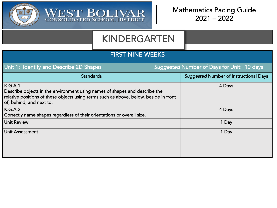

WEST BOLIVAR

#### FIRST NINE WEEKS

| Unit 1: Identify and Describe 2D Shapes                                                                                                                                                                           | <b>Suggested Number of Days for Unit: 10 days</b> |
|-------------------------------------------------------------------------------------------------------------------------------------------------------------------------------------------------------------------|---------------------------------------------------|
| <b>Standards</b>                                                                                                                                                                                                  | <b>Suggested Number of Instructional Days</b>     |
| K.G.A.1<br>Describe objects in the environment using names of shapes and describe the<br>$\mid$ relative positions of these objects using terms such as above, below, beside in front<br>of, behind, and next to. | 4 Days                                            |
| K.G.A.2<br>Correctly name shapes regardless of their orientations or overall size.                                                                                                                                | 4 Days                                            |
| Unit Review                                                                                                                                                                                                       | 1 Day                                             |
| Unit Assessment                                                                                                                                                                                                   | 1 Day                                             |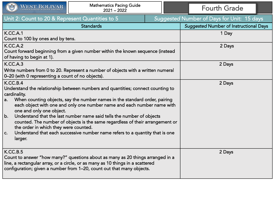| $\left(\frac{1}{2}\right)$<br>WEST BOLIVAR                                                                                                                                                                                                                                                                                                                                                                                                                                                                                                                                                                       | <b>Mathematics Pacing Guide</b><br>$2021 - 2022$                                                                                                                                                                                          |        | <b>Fourth Grade</b>                           |  |
|------------------------------------------------------------------------------------------------------------------------------------------------------------------------------------------------------------------------------------------------------------------------------------------------------------------------------------------------------------------------------------------------------------------------------------------------------------------------------------------------------------------------------------------------------------------------------------------------------------------|-------------------------------------------------------------------------------------------------------------------------------------------------------------------------------------------------------------------------------------------|--------|-----------------------------------------------|--|
| Unit 2: Count to 20 & Represent Quantities to 5                                                                                                                                                                                                                                                                                                                                                                                                                                                                                                                                                                  |                                                                                                                                                                                                                                           |        | Suggested Number of Days for Unit: 15 days    |  |
|                                                                                                                                                                                                                                                                                                                                                                                                                                                                                                                                                                                                                  | <b>Standards</b>                                                                                                                                                                                                                          |        | <b>Suggested Number of Instructional Days</b> |  |
| K.CC.A.1<br>Count to 100 by ones and by tens.                                                                                                                                                                                                                                                                                                                                                                                                                                                                                                                                                                    |                                                                                                                                                                                                                                           |        | 1 Day                                         |  |
| <b>K.CC.A.2</b><br>of having to begin at 1).                                                                                                                                                                                                                                                                                                                                                                                                                                                                                                                                                                     | Count forward beginning from a given number within the known sequence (instead                                                                                                                                                            |        | 2 Days                                        |  |
| K.CC.A.3<br>0–20 (with 0 representing a count of no objects).                                                                                                                                                                                                                                                                                                                                                                                                                                                                                                                                                    | Write numbers from 0 to 20. Represent a number of objects with a written numeral                                                                                                                                                          |        | 2 Days                                        |  |
| K.CC.B.4<br>Understand the relationship between numbers and quantities; connect counting to<br>cardinality.<br>When counting objects, say the number names in the standard order, pairing<br>a.<br>each object with one and only one number name and each number name with<br>one and only one object.<br>b.<br>Understand that the last number name said tells the number of objects<br>counted. The number of objects is the same regardless of their arrangement or<br>the order in which they were counted.<br>Understand that each successive number name refers to a quantity that is one<br>C.<br>larger. |                                                                                                                                                                                                                                           | 2 Days |                                               |  |
| K.CC.B.5                                                                                                                                                                                                                                                                                                                                                                                                                                                                                                                                                                                                         | Count to answer "how many?" questions about as many as 20 things arranged in a<br>line, a rectangular array, or a circle, or as many as 10 things in a scattered<br>configuration; given a number from 1–20, count out that many objects. |        | 2 Days                                        |  |

**Contract Contract Contract Contract Contract Contract Contract Contract Contract Contract Contract Contract Contract Contract Contract Contract Contract Contract Contract Contract Contract Contract Contract Contract Contr**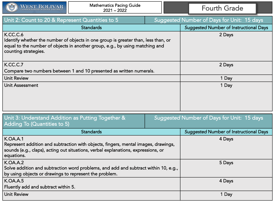|  | <b>WEST BOLIVAR</b><br><b>CONSOLIDATED SCHOOL DISTRICT</b> |
|--|------------------------------------------------------------|
|--|------------------------------------------------------------|

| Unit 2: Count to 20 & Represent Quantities to 5                                                                                                                                                        |  | <b>Suggested Number of Days for Unit: 15 days</b> |
|--------------------------------------------------------------------------------------------------------------------------------------------------------------------------------------------------------|--|---------------------------------------------------|
| <b>Standards</b>                                                                                                                                                                                       |  | <b>Suggested Number of Instructional Days</b>     |
| K.CC.C.6<br>Identify whether the number of objects in one group is greater than, less than, or<br>equal to the number of objects in another group, e.g., by using matching and<br>counting strategies. |  | 2 Days                                            |
| K.CC.C.7                                                                                                                                                                                               |  | 2 Days                                            |
| Compare two numbers between 1 and 10 presented as written numerals.                                                                                                                                    |  |                                                   |
| <b>Unit Review</b>                                                                                                                                                                                     |  | 1 Day                                             |
| Unit Assessment                                                                                                                                                                                        |  | 1 Day                                             |

| Unit 3: Understand Addition as Putting Together &<br>Adding To (Quantities to 5)                                                                                                                         |  | Suggested Number of Days for Unit: 15 days    |
|----------------------------------------------------------------------------------------------------------------------------------------------------------------------------------------------------------|--|-----------------------------------------------|
| <b>Standards</b>                                                                                                                                                                                         |  | <b>Suggested Number of Instructional Days</b> |
| <b>K.OA.A.1</b><br>Represent addition and subtraction with objects, fingers, mental images, drawings,<br>sounds (e.g., claps), acting out situations, verbal explanations, expressions, or<br>equations. |  | 4 Days                                        |
| <b>K.OA.A.2</b><br>Solve addition and subtraction word problems, and add and subtract within 10, e.g.,<br>by using objects or drawings to represent the problem.                                         |  | 5 Days                                        |
| <b>K.OA.A.5</b><br>Fluently add and subtract within 5.                                                                                                                                                   |  | 4 Days                                        |
| <b>Unit Review</b>                                                                                                                                                                                       |  | 1 Day                                         |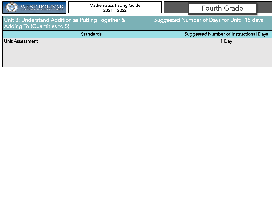| $\left( \frac{1}{2} \right)$<br>WEST BOLIVAR                                     | <b>Mathematics Pacing Guide</b><br>$2021 - 2022$ | <b>Fourth Grade</b>                           |
|----------------------------------------------------------------------------------|--------------------------------------------------|-----------------------------------------------|
| Unit 3: Understand Addition as Putting Together &<br>Adding To (Quantities to 5) |                                                  | Suggested Number of Days for Unit: 15 days    |
|                                                                                  | <b>Standards</b>                                 | <b>Suggested Number of Instructional Days</b> |
| Unit Assessment                                                                  |                                                  | 1 Day                                         |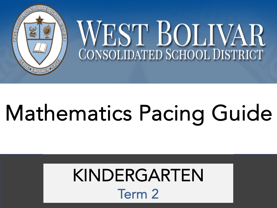

## Mathematics Pacing Guide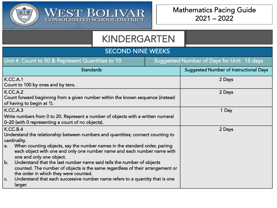

WEST BOLIVAR

#### SECOND NINE WEEKS

| Unit 4: Count to 50 & Represent Quantities to 10                                                                                                                                                      | Suggested Number of Days for Unit: 15 days    |
|-------------------------------------------------------------------------------------------------------------------------------------------------------------------------------------------------------|-----------------------------------------------|
| <b>Standards</b>                                                                                                                                                                                      | <b>Suggested Number of Instructional Days</b> |
| <b>K.CC.A.1</b><br>Count to 100 by ones and by tens.                                                                                                                                                  | 2 Days                                        |
| <b>K.CC.A.2</b><br>Count forward beginning from a given number within the known sequence (instead<br>of having to begin at 1).                                                                        | 2 Days                                        |
| K.CC.A.3                                                                                                                                                                                              | 1 Day                                         |
| Write numbers from 0 to 20. Represent a number of objects with a written numeral<br>0-20 (with 0 representing a count of no objects).                                                                 |                                               |
| K.CC.B.4<br>Understand the relationship between numbers and quantities; connect counting to<br>cardinality.                                                                                           | 2 Days                                        |
| When counting objects, say the number names in the standard order, pairing<br>a.<br>each object with one and only one number name and each number name with<br>one and only one object.               |                                               |
| Understand that the last number name said tells the number of objects<br>b.<br>counted. The number of objects is the same regardless of their arrangement or<br>the order in which they were counted. |                                               |
| Understand that each successive number name refers to a quantity that is one<br>C.<br>larger.                                                                                                         |                                               |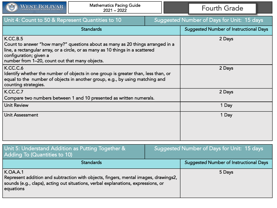

| Unit 4: Count to 50 & Represent Quantities to 10                                                                                                                                                                                                         |  | Suggested Number of Days for Unit: 15 days    |
|----------------------------------------------------------------------------------------------------------------------------------------------------------------------------------------------------------------------------------------------------------|--|-----------------------------------------------|
| <b>Standards</b>                                                                                                                                                                                                                                         |  | <b>Suggested Number of Instructional Days</b> |
| K.CC.B.5<br>Count to answer "how many?" questions about as many as 20 things arranged in a<br>line, a rectangular array, or a circle, or as many as 10 things in a scattered<br>configuration; given a<br>number from 1-20, count out that many objects. |  | 2 Days                                        |
| K.CC.C.6<br>Identify whether the number of objects in one group is greater than, less than, or<br>equal to the number of objects in another group, e.g., by using matching and<br>counting strategies.                                                   |  | 2 Days                                        |
| K.CC.C.7<br>Compare two numbers between 1 and 10 presented as written numerals.                                                                                                                                                                          |  | 2 Days                                        |
| <b>Unit Review</b>                                                                                                                                                                                                                                       |  | 1 Day                                         |
| <b>Unit Assessment</b>                                                                                                                                                                                                                                   |  | 1 Day                                         |

| Unit 5: Understand Addition as Putting Together &<br>Adding To (Quantities to 10)                                                                                                                        |  | Suggested Number of Days for Unit: 15 days    |
|----------------------------------------------------------------------------------------------------------------------------------------------------------------------------------------------------------|--|-----------------------------------------------|
| <b>Standards</b>                                                                                                                                                                                         |  | <b>Suggested Number of Instructional Days</b> |
| <b>K.OA.A.1</b><br>Represent addition and subtraction with objects, fingers, mental images, drawings2,<br>sounds (e.g., claps), acting out situations, verbal explanations, expressions, or<br>equations |  | 5 Days                                        |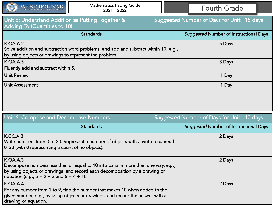| $\left(\frac{1}{2}\right)$<br>WEST BOLIVAR                                        | <b>Mathematics Pacing Guide</b><br>$2021 - 2022$                                                                                                                 | <b>Fourth Grade</b>                               |
|-----------------------------------------------------------------------------------|------------------------------------------------------------------------------------------------------------------------------------------------------------------|---------------------------------------------------|
| Unit 5: Understand Addition as Putting Together &<br>Adding To (Quantities to 10) |                                                                                                                                                                  | <b>Suggested Number of Days for Unit: 15 days</b> |
|                                                                                   | <b>Standards</b>                                                                                                                                                 | <b>Suggested Number of Instructional Days</b>     |
| <b>K.OA.A.2</b><br>by using objects or drawings to represent the problem.         | Solve addition and subtraction word problems, and add and subtract within 10, e.g.,                                                                              | 5 Days                                            |
| <b>K.OA.A.5</b><br>Fluently add and subtract within 5.                            |                                                                                                                                                                  | 3 Days                                            |
| <b>Unit Review</b>                                                                |                                                                                                                                                                  | 1 Day                                             |
| <b>Unit Assessment</b>                                                            |                                                                                                                                                                  | 1 Day                                             |
| Unit 6: Compose and Decompose Numbers                                             |                                                                                                                                                                  | Suggested Number of Days for Unit: 10 days        |
|                                                                                   | <b>Standards</b>                                                                                                                                                 | <b>Suggested Number of Instructional Days</b>     |
| <b>K.CC.A.3</b><br>0-20 (with 0 representing a count of no objects).              | Write numbers from 0 to 20. Represent a number of objects with a written numeral                                                                                 | 2 Days                                            |
| K.OA.A.3                                                                          | Decompose numbers less than or equal to 10 into pairs in more than one way, e.g.,<br>by using objects or drawings, and record each decomposition by a drawing or | 2 Days                                            |

2 Days

#### equation (e.g., 5 = 2 + 3 and 5 = 4 + 1). K.OA.A.4 For any number from 1 to 9, find the number that makes 10 when added to the given number, e.g., by using objects or drawings, and record the answer with a

drawing or equation.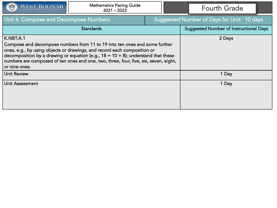

| Unit 6: Compose and Decompose Numbers                                                                                                                                                                                                                                                                                                                                |  | Suggested Number of Days for Unit: 10 days    |
|----------------------------------------------------------------------------------------------------------------------------------------------------------------------------------------------------------------------------------------------------------------------------------------------------------------------------------------------------------------------|--|-----------------------------------------------|
| <b>Standards</b>                                                                                                                                                                                                                                                                                                                                                     |  | <b>Suggested Number of Instructional Days</b> |
| K.NBT.A.1<br>Compose and decompose numbers from 11 to 19 into ten ones and some further<br>ones, e.g., by using objects or drawings, and record each composition or<br>decomposition by a drawing or equation (e.g., $18 = 10 + 8$ ); understand that these<br>numbers are composed of ten ones and one, two, three, four, five, six, seven, eight,<br>or nine ones. |  | 2 Days                                        |
| <b>Unit Review</b>                                                                                                                                                                                                                                                                                                                                                   |  | 1 Day                                         |
| Unit Assessment                                                                                                                                                                                                                                                                                                                                                      |  | 1 Day                                         |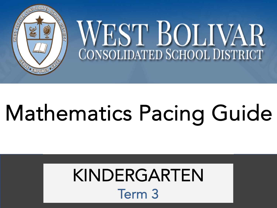

## Mathematics Pacing Guide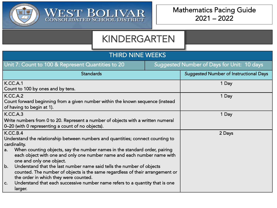

WEST BOLIVAR

| <b>THIRD NINE WEEKS</b>                                                                                                                                                                                          |                                                   |                                               |  |
|------------------------------------------------------------------------------------------------------------------------------------------------------------------------------------------------------------------|---------------------------------------------------|-----------------------------------------------|--|
| Unit 7: Count to 100 & Represent Quantities to 20                                                                                                                                                                | <b>Suggested Number of Days for Unit: 10 days</b> |                                               |  |
| <b>Standards</b>                                                                                                                                                                                                 |                                                   | <b>Suggested Number of Instructional Days</b> |  |
| <b>K.CC.A.1</b><br>Count to 100 by ones and by tens.                                                                                                                                                             |                                                   | 1 Day                                         |  |
| <b>K.CC.A.2</b><br>Count forward beginning from a given number within the known sequence (instead<br>of having to begin at 1).                                                                                   |                                                   | 1 Day                                         |  |
| <b>K.CC.A.3</b>                                                                                                                                                                                                  |                                                   | 1 Day                                         |  |
| Write numbers from 0 to 20. Represent a number of objects with a written numeral<br>0-20 (with 0 representing a count of no objects).                                                                            |                                                   |                                               |  |
| K.CC.B.4<br>Understand the relationship between numbers and quantities; connect counting to<br>cardinality.                                                                                                      |                                                   | 2 Days                                        |  |
| When counting objects, say the number names in the standard order, pairing<br>a.<br>each object with one and only one number name and each number name with<br>one and only one object.                          |                                                   |                                               |  |
| $\mathbf b$ .<br>Understand that the last number name said tells the number of objects<br>counted. The number of objects is the same regardless of their arrangement or<br>the order in which they were counted. |                                                   |                                               |  |
| Understand that each successive number name refers to a quantity that is one<br>C.<br>larger.                                                                                                                    |                                                   |                                               |  |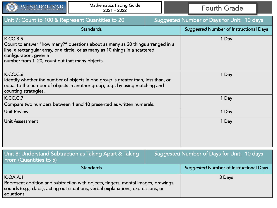

| Unit 7: Count to 100 & Represent Quantities to 20                                                                                                                                                                                                         |  | Suggested Number of Days for Unit: 10 days    |
|-----------------------------------------------------------------------------------------------------------------------------------------------------------------------------------------------------------------------------------------------------------|--|-----------------------------------------------|
| <b>Standards</b>                                                                                                                                                                                                                                          |  | <b>Suggested Number of Instructional Days</b> |
| K.C.C.B.5<br>Count to answer "how many?" questions about as many as 20 things arranged in a<br>line, a rectangular array, or a circle, or as many as 10 things in a scattered<br>configuration; given a<br>number from 1-20, count out that many objects. |  | 1 Day                                         |
| K.CC.C.6<br>Identify whether the number of objects in one group is greater than, less than, or<br>equal to the number of objects in another group, e.g., by using matching and<br>counting strategies.                                                    |  | 1 Day                                         |
| K.CC.C.7                                                                                                                                                                                                                                                  |  | 1 Day                                         |
| Compare two numbers between 1 and 10 presented as written numerals.                                                                                                                                                                                       |  |                                               |
| <b>Unit Review</b>                                                                                                                                                                                                                                        |  | 1 Day                                         |
| <b>Unit Assessment</b>                                                                                                                                                                                                                                    |  | 1 Day                                         |
| Unit 8: Understand Subtraction as Taking Apart & Taking<br>From (Quantities to 5)                                                                                                                                                                         |  | Suggested Number of Days for Unit: 10 days    |
| <b>Standards</b>                                                                                                                                                                                                                                          |  | <b>Suggested Number of Instructional Days</b> |
| <b>K.OA.A.1</b><br>Represent addition and subtraction with objects, fingers, mental images, drawings,<br>sounds (e.g., claps), acting out situations, verbal explanations, expressions, or<br>equations.                                                  |  | 3 Days                                        |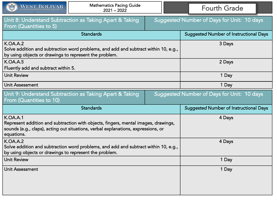| $\left( \frac{1}{2} \right)$<br>WEST BOLIVAR                                                                                                                                                             | <b>Mathematics Pacing Guide</b><br>$2021 - 2022$        |       | <b>Fourth Grade</b>                           |
|----------------------------------------------------------------------------------------------------------------------------------------------------------------------------------------------------------|---------------------------------------------------------|-------|-----------------------------------------------|
| Unit 8: Understand Subtraction as Taking Apart & Taking<br>Suggested Number of Days for Unit: 10 days<br>From (Quantities to 5)                                                                          |                                                         |       |                                               |
|                                                                                                                                                                                                          | <b>Standards</b>                                        |       | <b>Suggested Number of Instructional Days</b> |
| <b>K.OA.A.2</b><br>Solve addition and subtraction word problems, and add and subtract within 10, e.g.,<br>by using objects or drawings to represent the problem.                                         |                                                         |       | 3 Days                                        |
| <b>K.OA.A.5</b><br>Fluently add and subtract within 5.                                                                                                                                                   |                                                         |       | 2 Days                                        |
| <b>Unit Review</b>                                                                                                                                                                                       |                                                         | 1 Day |                                               |
| <b>Unit Assessment</b>                                                                                                                                                                                   |                                                         | 1 Day |                                               |
| From (Quantities to 10)                                                                                                                                                                                  | Unit 9: Understand Subtraction as Taking Apart & Taking |       | Suggested Number of Days for Unit: 10 days    |
|                                                                                                                                                                                                          | Standards                                               |       | <b>Suggested Number of Instructional Days</b> |
| <b>K.OA.A.1</b><br>Represent addition and subtraction with objects, fingers, mental images, drawings,<br>sounds (e.g., claps), acting out situations, verbal explanations, expressions, or<br>equations. |                                                         |       | 4 Days                                        |
| <b>K.OA.A.2</b><br>Solve addition and subtraction word problems, and add and subtract within 10, e.g.,<br>by using objects or drawings to represent the problem.                                         |                                                         |       | 4 Days                                        |
| <b>Unit Review</b>                                                                                                                                                                                       |                                                         |       | 1 Day                                         |
| <b>Unit Assessment</b>                                                                                                                                                                                   |                                                         |       | 1 Day                                         |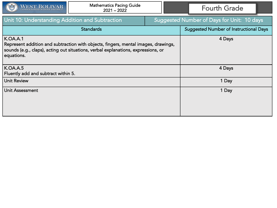| WEST BOLIVAR                                                                                                                                                                                             | <b>Mathematics Pacing Guide</b><br>$2021 - 2022$ |                                               | <b>Fourth Grade</b> |
|----------------------------------------------------------------------------------------------------------------------------------------------------------------------------------------------------------|--------------------------------------------------|-----------------------------------------------|---------------------|
| Unit 10: Understanding Addition and Subtraction                                                                                                                                                          |                                                  | Suggested Number of Days for Unit: 10 days    |                     |
| <b>Standards</b>                                                                                                                                                                                         |                                                  | <b>Suggested Number of Instructional Days</b> |                     |
| <b>K.OA.A.1</b><br>Represent addition and subtraction with objects, fingers, mental images, drawings,<br>sounds (e.g., claps), acting out situations, verbal explanations, expressions, or<br>equations. |                                                  | 4 Days                                        |                     |
| <b>K.OA.A.5</b><br>Fluently add and subtract within 5.                                                                                                                                                   |                                                  |                                               | 4 Days              |
| <b>Unit Review</b>                                                                                                                                                                                       |                                                  |                                               | 1 Day               |
| Unit Assessment                                                                                                                                                                                          |                                                  |                                               | 1 Day               |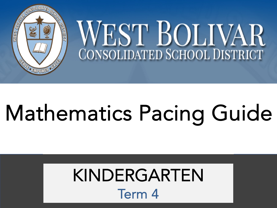

## Mathematics Pacing Guide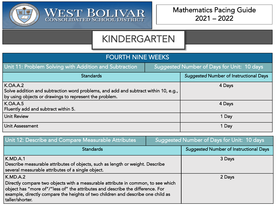



WEST BOLIVAR

| <b>FOURTH NINE WEEKS</b>                                                                                                                                         |                                            |                                               |  |
|------------------------------------------------------------------------------------------------------------------------------------------------------------------|--------------------------------------------|-----------------------------------------------|--|
| Unit 11: Problem Solving with Addition and Subtraction                                                                                                           | Suggested Number of Days for Unit: 10 days |                                               |  |
| <b>Standards</b>                                                                                                                                                 |                                            | <b>Suggested Number of Instructional Days</b> |  |
| <b>K.OA.A.2</b><br>Solve addition and subtraction word problems, and add and subtract within 10, e.g.,<br>by using objects or drawings to represent the problem. |                                            | 4 Days                                        |  |
| <b>K.OA.A.5</b><br>Fluently add and subtract within 5.                                                                                                           |                                            | 4 Days                                        |  |
| <b>Unit Review</b>                                                                                                                                               |                                            | 1 Day                                         |  |
| Unit Assessment                                                                                                                                                  |                                            | 1 Day                                         |  |

| Unit 12: Describe and Compare Measurable Attributes                                                                                                                                                                                                                                         | Suggested Number of Days for Unit: 10 days |                                               |
|---------------------------------------------------------------------------------------------------------------------------------------------------------------------------------------------------------------------------------------------------------------------------------------------|--------------------------------------------|-----------------------------------------------|
| <b>Standards</b>                                                                                                                                                                                                                                                                            |                                            | <b>Suggested Number of Instructional Days</b> |
| K.MD.A.1<br>Describe measurable attributes of objects, such as length or weight. Describe<br>several measurable attributes of a single object.                                                                                                                                              |                                            | 3 Days                                        |
| K.MD.A.2<br>Directly compare two objects with a measurable attribute in common, to see which<br>$\mid$ object has "more of"/"less of" the attributes and describe the difference. For<br>example, directly compare the heights of two children and describe one child as<br>taller/shorter. |                                            | 2 Days                                        |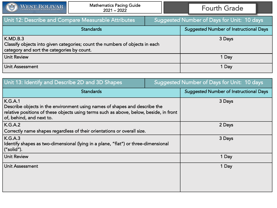

| Unit 12: Describe and Compare Measurable Attributes                                                                                    | Suggested Number of Days for Unit: 10 days |                                               |
|----------------------------------------------------------------------------------------------------------------------------------------|--------------------------------------------|-----------------------------------------------|
| <b>Standards</b>                                                                                                                       |                                            | <b>Suggested Number of Instructional Days</b> |
| K.MD.B.3<br>Classify objects into given categories; count the numbers of objects in each<br>category and sort the categories by count. |                                            | 3 Days                                        |
| <b>Unit Review</b>                                                                                                                     |                                            | 1 Day                                         |
| <b>Unit Assessment</b>                                                                                                                 |                                            | 1 Day                                         |

| Unit 13: Identify and Describe 2D and 3D Shapes                                                                                                                                                             | Suggested Number of Days for Unit: 10 days    |
|-------------------------------------------------------------------------------------------------------------------------------------------------------------------------------------------------------------|-----------------------------------------------|
| <b>Standards</b>                                                                                                                                                                                            | <b>Suggested Number of Instructional Days</b> |
| K.G.A.1<br>Describe objects in the environment using names of shapes and describe the<br>relative positions of these objects using terms such as above, below, beside, in front<br>of, behind, and next to. | 3 Days                                        |
| K.G.A.2<br>Correctly name shapes regardless of their orientations or overall size.                                                                                                                          | 2 Days                                        |
| K.G.A.3<br>Identify shapes as two-dimensional (lying in a plane, "flat") or three-dimensional<br>$\vert$ ("solid").                                                                                         | 3 Days                                        |
| Unit Review                                                                                                                                                                                                 | 1 Day                                         |
| Unit Assessment                                                                                                                                                                                             | 1 Day                                         |